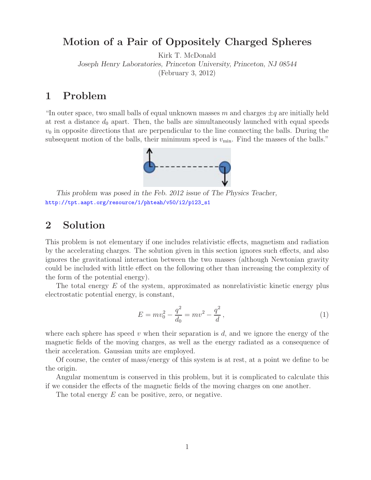# **Motion of a Pair of Oppositely Charged Spheres**

Kirk T. McDonald

*Joseph Henry Laboratories, Princeton University, Princeton, NJ 08544*

(February 3, 2012)

### **1 Problem**

"In outer space, two small balls of equal unknown masses m and charges  $\pm q$  are initially held at rest a distance  $d_0$  apart. Then, the balls are simultaneously launched with equal speeds  $v_0$  in opposite directions that are perpendicular to the line connecting the balls. During the subsequent motion of the balls, their minimum speed is  $v_{\text{min}}$ . Find the masses of the balls."



*This problem was posed in the Feb. 2012 issue of The Physics Teacher,* http://tpt.aapt.org/resource/1/phteah/v50/i2/p123\_s1

## **2 Solution**

This problem is not elementary if one includes relativistic effects, magnetism and radiation by the accelerating charges. The solution given in this section ignores such effects, and also ignores the gravitational interaction between the two masses (although Newtonian gravity could be included with little effect on the following other than increasing the complexity of the form of the potential energy).

The total energy  $E$  of the system, approximated as nonrelativistic kinetic energy plus electrostatic potential energy, is constant,

$$
E = mv_0^2 - \frac{q^2}{d_0} = mv^2 - \frac{q^2}{d},
$$
\n(1)

where each sphere has speed v when their separation is d, and we ignore the energy of the magnetic fields of the moving charges, as well as the energy radiated as a consequence of their acceleration. Gaussian units are employed.

Of course, the center of mass/energy of this system is at rest, at a point we define to be the origin.

Angular momentum is conserved in this problem, but it is complicated to calculate this if we consider the effects of the magnetic fields of the moving charges on one another.

The total energy E can be positive, zero, or negative.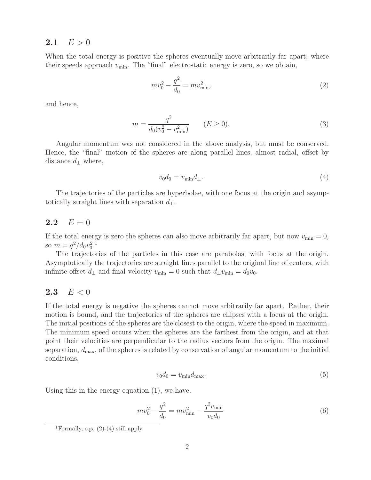#### **2.1**  $E > 0$

When the total energy is positive the spheres eventually move arbitrarily far apart, where their speeds approach  $v_{\text{min}}$ . The "final" electrostatic energy is zero, so we obtain,

$$
mv_0^2 - \frac{q^2}{d_0} = mv_{\text{min}}^2,
$$
\n(2)

and hence,

$$
m = \frac{q^2}{d_0(v_0^2 - v_{\min}^2)} \qquad (E \ge 0).
$$
\n(3)

Angular momentum was not considered in the above analysis, but must be conserved. Hence, the "final" motion of the spheres are along parallel lines, almost radial, offset by distance  $d_{\perp}$  where,

$$
v_0 d_0 = v_{\min} d_\perp. \tag{4}
$$

The trajectories of the particles are hyperbolae, with one focus at the origin and asymptotically straight lines with separation  $d_{\perp}$ .

#### **2.2**  $E = 0$

If the total energy is zero the spheres can also move arbitrarily far apart, but now  $v_{\text{min}} = 0$ , so  $m = q^2/d_0 v_0^2$ .<sup>1</sup>

The trajectories of the particles in this case are parabolas, with focus at the origin. Asymptotically the trajectories are straight lines parallel to the original line of centers, with infinite offset  $d_{\perp}$  and final velocity  $v_{\text{min}} = 0$  such that  $d_{\perp}v_{\text{min}} = d_0v_0$ .

#### **2.3**  $E < 0$

If the total energy is negative the spheres cannot move arbitrarily far apart. Rather, their motion is bound, and the trajectories of the spheres are ellipses with a focus at the origin. The initial positions of the spheres are the closest to the origin, where the speed in maximum. The minimum speed occurs when the spheres are the farthest from the origin, and at that point their velocities are perpendicular to the radius vectors from the origin. The maximal separation,  $d_{\text{max}}$ , of the spheres is related by conservation of angular momentum to the initial conditions,

$$
v_0 d_0 = v_{\min} d_{\max}.\tag{5}
$$

Using this in the energy equation (1), we have,

$$
mv_0^2 - \frac{q^2}{d_0} = mv_{\text{min}}^2 - \frac{q^2 v_{\text{min}}}{v_0 d_0}
$$
\n<sup>(6)</sup>

<sup>&</sup>lt;sup>1</sup>Formally, eqs.  $(2)-(4)$  still apply.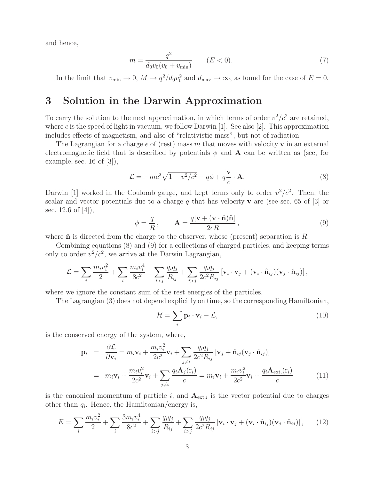and hence,

$$
m = \frac{q^2}{d_0 v_0 (v_0 + v_{\min})} \qquad (E < 0). \tag{7}
$$

In the limit that  $v_{\min} \to 0$ ,  $M \to q^2/d_0v_0^2$  and  $d_{\max} \to \infty$ , as found for the case of  $E = 0$ .

# **3 Solution in the Darwin Approximation**

To carry the solution to the next approximation, in which terms of order  $v^2/c^2$  are retained, where c is the speed of light in vacuum, we follow Darwin [1]. See also [2]. This approximation includes effects of magnetism, and also of "relativistic mass", but not of radiation.

The Lagrangian for a charge e of (rest) mass m that moves with velocity **v** in an external electromagnetic field that is described by potentials  $\phi$  and **A** can be written as (see, for example, sec. 16 of  $[3]$ ),

$$
\mathcal{L} = -mc^2\sqrt{1 - v^2/c^2} - q\phi + q\frac{\mathbf{v}}{c} \cdot \mathbf{A}.
$$
 (8)

Darwin [1] worked in the Coulomb gauge, and kept terms only to order  $v^2/c^2$ . Then, the scalar and vector potentials due to a charge q that has velocity **v** are (see sec. 65 of [3] or sec. 12.6 of [4]),

$$
\phi = \frac{q}{R}, \qquad \mathbf{A} = \frac{q[\mathbf{v} + (\mathbf{v} \cdot \hat{\mathbf{n}})\hat{\mathbf{n}}]}{2cR}, \tag{9}
$$

where  $\hat{\bf{n}}$  is directed from the charge to the observer, whose (present) separation is  $R$ .

Combining equations (8) and (9) for a collections of charged particles, and keeping terms only to order  $v^2/c^2$ , we arrive at the Darwin Lagrangian,

$$
\mathcal{L} = \sum_i \frac{m_i v_i^2}{2} + \sum_i \frac{m_i v_i^4}{8c^2} - \sum_{i>j} \frac{q_i q_j}{R_{ij}} + \sum_{i>j} \frac{q_i q_j}{2c^2 R_{ij}} \left[ \mathbf{v}_i \cdot \mathbf{v}_j + (\mathbf{v}_i \cdot \hat{\mathbf{n}}_{ij})(\mathbf{v}_j \cdot \hat{\mathbf{n}}_{ij}) \right],
$$

where we ignore the constant sum of the rest energies of the particles.

The Lagrangian (3) does not depend explicitly on time, so the corresponding Hamiltonian,

$$
\mathcal{H} = \sum_{i} \mathbf{p}_i \cdot \mathbf{v}_i - \mathcal{L},\tag{10}
$$

is the conserved energy of the system, where,

$$
\mathbf{p}_{i} = \frac{\partial \mathcal{L}}{\partial \mathbf{v}_{i}} = m_{i} \mathbf{v}_{i} + \frac{m_{i} v_{i}^{2}}{2c^{2}} \mathbf{v}_{i} + \sum_{j \neq i} \frac{q_{i} q_{j}}{2c^{2} R_{ij}} [\mathbf{v}_{j} + \hat{\mathbf{n}}_{ij} (\mathbf{v}_{j} \cdot \hat{\mathbf{n}}_{ij})]
$$
  
\n
$$
= m_{i} \mathbf{v}_{i} + \frac{m_{i} v_{i}^{2}}{2c^{2}} \mathbf{v}_{i} + \sum_{j \neq i} \frac{q_{i} \mathbf{A}_{j}(\mathbf{r}_{i})}{c} = m_{i} \mathbf{v}_{i} + \frac{m_{i} v_{i}^{2}}{2c^{2}} \mathbf{v}_{i} + \frac{q_{i} \mathbf{A}_{\text{ext},}(\mathbf{r}_{i})}{c}
$$
(11)

is the canonical momentum of particle i, and  $A_{ext,i}$  is the vector potential due to charges other than q*i*. Hence, the Hamiltonian/energy is,

$$
E = \sum_{i} \frac{m_i v_i^2}{2} + \sum_{i} \frac{3m_i v_i^4}{8c^2} + \sum_{i>j} \frac{q_i q_j}{R_{ij}} + \sum_{i>j} \frac{q_i q_j}{2c^2 R_{ij}} \left[ \mathbf{v}_i \cdot \mathbf{v}_j + (\mathbf{v}_i \cdot \hat{\mathbf{n}}_{ij})(\mathbf{v}_j \cdot \hat{\mathbf{n}}_{ij}) \right],\tag{12}
$$